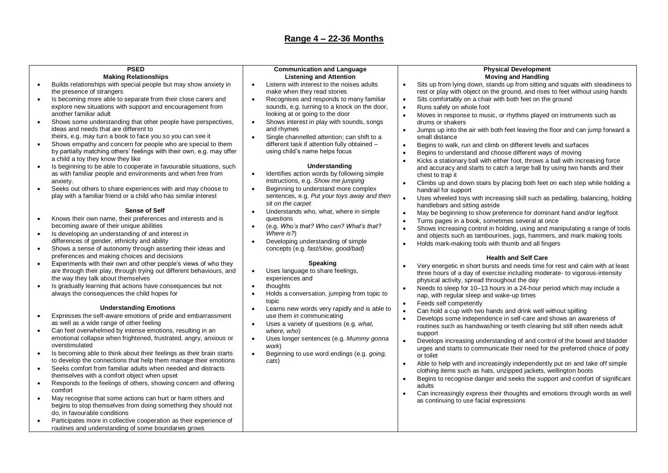### **Range 4 – 22-36 Months**

# **PSED**

### **Making Relationships**

- Builds relationships with special people but may show anxiety in the presence of strangers
- Is becoming more able to separate from their close carers and explore new situations with support and encouragement from another familiar adult
- Shows some understanding that other people have perspectives, ideas and needs that are different to theirs, e.g. may turn a book to face you so you can see it
- Shows empathy and concern for people who are special to them by partially matching others' feelings with their own, e.g. may offer a child a toy they know they like
- Is beginning to be able to cooperate in favourable situations, such as with familiar people and environments and when free from anxiety.
- Seeks out others to share experiences with and may choose to play with a familiar friend or a child who has similar interest

### **Sense of Self**

- Knows their own name, their preferences and interests and is becoming aware of their unique abilities
- Is developing an understanding of and interest in differences of gender, ethnicity and ability
- Shows a sense of autonomy through asserting their ideas and preferences and making choices and decisions
- Experiments with their own and other people's views of who they are through their play, through trying out different behaviours, and the way they talk about themselves
- Is gradually learning that actions have consequences but not always the consequences the child hopes for

#### **Understanding Emotions**

- Expresses the self-aware emotions of pride and embarrassment as well as a wide range of other feeling
- Can feel overwhelmed by intense emotions, resulting in an emotional collapse when frightened, frustrated, angry, anxious or overstimulated
- Is becoming able to think about their feelings as their brain starts to develop the connections that help them manage their emotions
- Seeks comfort from familiar adults when needed and distracts themselves with a comfort object when upset
- Responds to the feelings of others, showing concern and offering comfort
- May recognise that some actions can hurt or harm others and begins to stop themselves from doing something they should not do, in favourable conditions
- Participates more in collective cooperation as their experience of routines and understanding of some boundaries grows

## **Communication and Language Listening and Attention**

- Listens with interest to the noises adults make when they read stories
- Recognises and responds to many familiar sounds, e.g. turning to a knock on the door, looking at or going to the door
- Shows interest in play with sounds, songs and rhymes
- Single channelled attention: can shift to a different task if attention fully obtained – using child's name helps focus

### **Understanding**

- Identifies action words by following simple instructions, e.g. *Show me jumping*
- **Beginning to understand more complex** sentences, e.g. *Put your toys away and then sit on the carpet*
- Understands who, what, where in simple questions
- (e.g. *Who's that? Who can? What's that? Where is?*)
- Developing understanding of simple concepts (e.g. *fast/slow, good/bad*)

### **Speaking**

- Uses language to share feelings. experiences and
- thoughts
- Holds a conversation, jumping from topic to topic
- Learns new words very rapidly and is able to use them in communicating
- Uses a variety of questions (e.g. *what, where, who*)
- Uses longer sentences (e.g. *Mummy gonna work*)
- Beginning to use word endings (e.g. *going, cats*)

#### **Physical Development Moving and Handling**

- Sits up from lying down, stands up from sitting and squats with steadiness to rest or play with object on the ground, and rises to feet without using hands
- Sits comfortably on a chair with both feet on the ground
- Runs safely on whole foot
- Moves in response to music, or rhythms played on instruments such as drums or shakers
- Jumps up into the air with both feet leaving the floor and can jump forward a small distance
- Begins to walk, run and climb on different levels and surfaces
- Begins to understand and choose different ways of moving
- Kicks a stationary ball with either foot, throws a ball with increasing force and accuracy and starts to catch a large ball by using two hands and their chest to trap it
- Climbs up and down stairs by placing both feet on each step while holding a handrail for support
- Uses wheeled toys with increasing skill such as pedalling, balancing, holding handlebars and sitting astride
- May be beginning to show preference for dominant hand and/or leg/foot
- Turns pages in a book, sometimes several at once
- Shows increasing control in holding, using and manipulating a range of tools and objects such as tambourines, jugs, hammers, and mark making tools
- Holds mark-making tools with thumb and all fingers

### **Health and Self Care**

- Very energetic in short bursts and needs time for rest and calm with at least three hours of a day of exercise including moderate- to vigorous-intensity physical activity, spread throughout the day
- Needs to sleep for 10–13 hours in a 24-hour period which may include a nap, with regular sleep and wake-up times
- Feeds self competently
- Can hold a cup with two hands and drink well without spilling
- Develops some independence in self-care and shows an awareness of routines such as handwashing or teeth cleaning but still often needs adult support
- Develops increasing understanding of and control of the bowel and bladder urges and starts to communicate their need for the preferred choice of potty or toilet
- Able to help with and increasingly independently put on and take off simple clothing items such as hats, unzipped jackets, wellington boots
- Begins to recognise danger and seeks the support and comfort of significant adults
- Can increasingly express their thoughts and emotions through words as well as continuing to use facial expressions